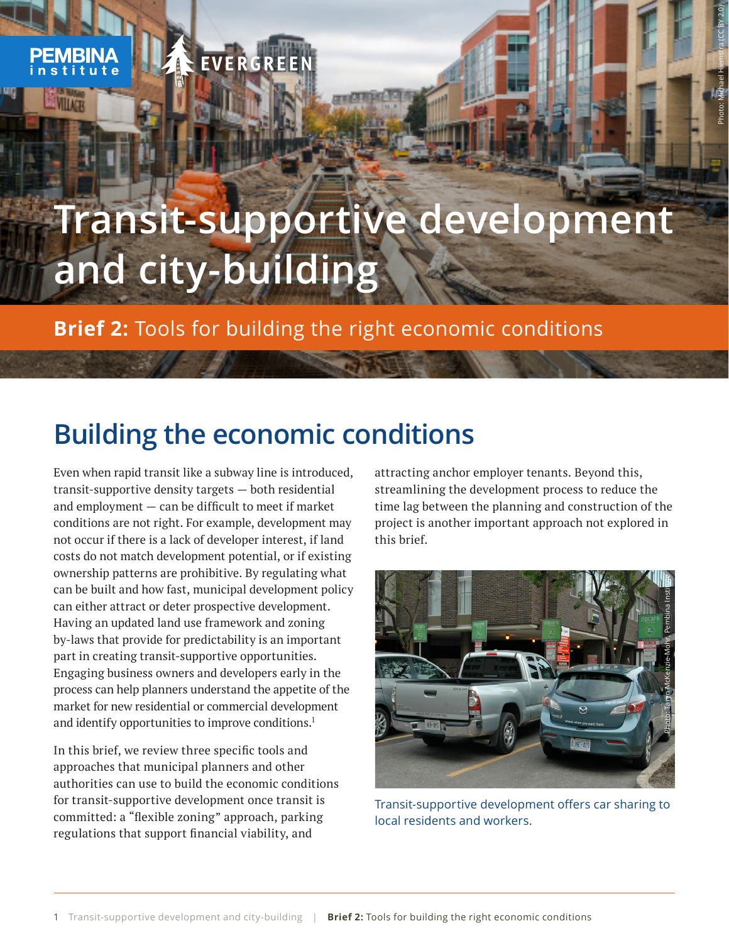## EVERGREE

**Lig** 

# **Transit-supportive development and city-building**

**Brief 2:** Tools for building the right economic conditions

### **Building the economic conditions**

Even when rapid transit like a subway line is introduced, transit-supportive density targets — both residential and employment — can be difficult to meet if market conditions are not right. For example, development may not occur if there is a lack of developer interest, if land costs do not match development potential, or if existing ownership patterns are prohibitive. By regulating what can be built and how fast, municipal development policy can either attract or deter prospective development. Having an updated land use framework and zoning by-laws that provide for predictability is an important part in creating transit-supportive opportunities. Engaging business owners and developers early in the process can help planners understand the appetite of the market for new residential or commercial development and identify opportunities to improve conditions.<sup>1</sup>

In this brief, we review three specific tools and approaches that municipal planners and other authorities can use to build the economic conditions for transit-supportive development once transit is committed: a "flexible zoning" approach, parking regulations that support financial viability, and

attracting anchor employer tenants. Beyond this, streamlining the development process to reduce the time lag between the planning and construction of the project is another important approach not explored in this brief.

Photo: Michael Hiemstra (CC BY 2.0)



Transit-supportive development offers car sharing to local residents and workers.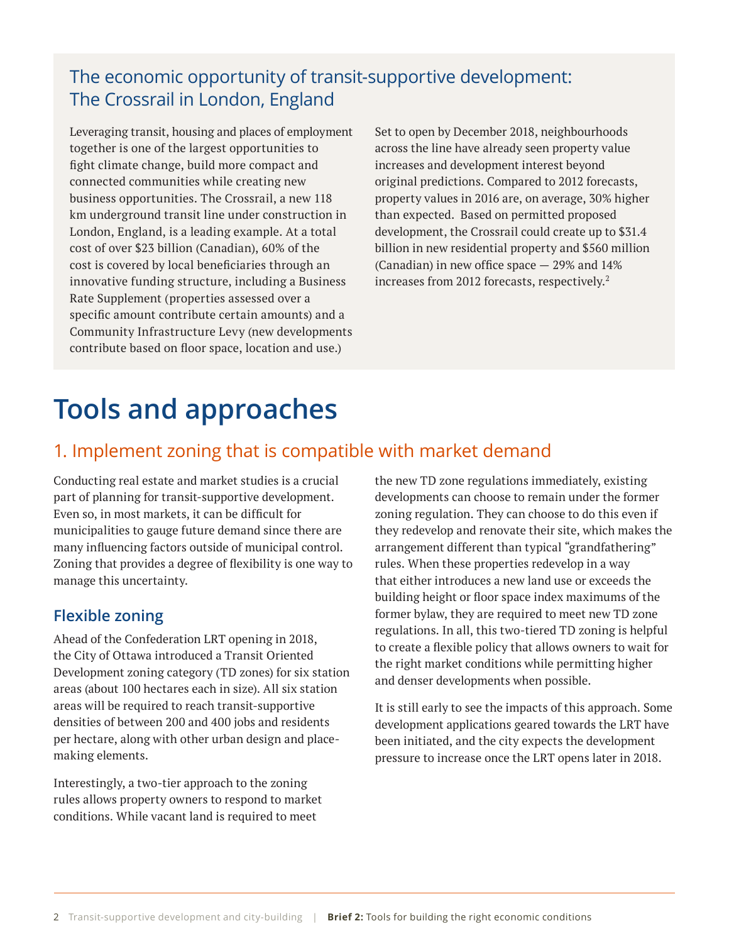#### The economic opportunity of transit-supportive development: The Crossrail in London, England

Leveraging transit, housing and places of employment together is one of the largest opportunities to fight climate change, build more compact and connected communities while creating new business opportunities. The Crossrail, a new 118 km underground transit line under construction in London, England, is a leading example. At a total cost of over \$23 billion (Canadian), 60% of the cost is covered by local beneficiaries through an innovative funding structure, including a Business Rate Supplement (properties assessed over a specific amount contribute certain amounts) and a Community Infrastructure Levy (new developments contribute based on floor space, location and use.)

Set to open by December 2018, neighbourhoods across the line have already seen property value increases and development interest beyond original predictions. Compared to 2012 forecasts, property values in 2016 are, on average, 30% higher than expected. Based on permitted proposed development, the Crossrail could create up to \$31.4 billion in new residential property and \$560 million (Canadian) in new office space — 29% and 14% increases from 2012 forecasts, respectively.<sup>2</sup>

### **Tools and approaches**

#### 1. Implement zoning that is compatible with market demand

Conducting real estate and market studies is a crucial part of planning for transit-supportive development. Even so, in most markets, it can be difficult for municipalities to gauge future demand since there are many influencing factors outside of municipal control. Zoning that provides a degree of flexibility is one way to manage this uncertainty.

#### **Flexible zoning**

Ahead of the Confederation LRT opening in 2018, the City of Ottawa introduced a Transit Oriented Development zoning category (TD zones) for six station areas (about 100 hectares each in size). All six station areas will be required to reach transit-supportive densities of between 200 and 400 jobs and residents per hectare, along with other urban design and placemaking elements.

Interestingly, a two-tier approach to the zoning rules allows property owners to respond to market conditions. While vacant land is required to meet

the new TD zone regulations immediately, existing developments can choose to remain under the former zoning regulation. They can choose to do this even if they redevelop and renovate their site, which makes the arrangement different than typical "grandfathering" rules. When these properties redevelop in a way that either introduces a new land use or exceeds the building height or floor space index maximums of the former bylaw, they are required to meet new TD zone regulations. In all, this two-tiered TD zoning is helpful to create a flexible policy that allows owners to wait for the right market conditions while permitting higher and denser developments when possible.

It is still early to see the impacts of this approach. Some development applications geared towards the LRT have been initiated, and the city expects the development pressure to increase once the LRT opens later in 2018.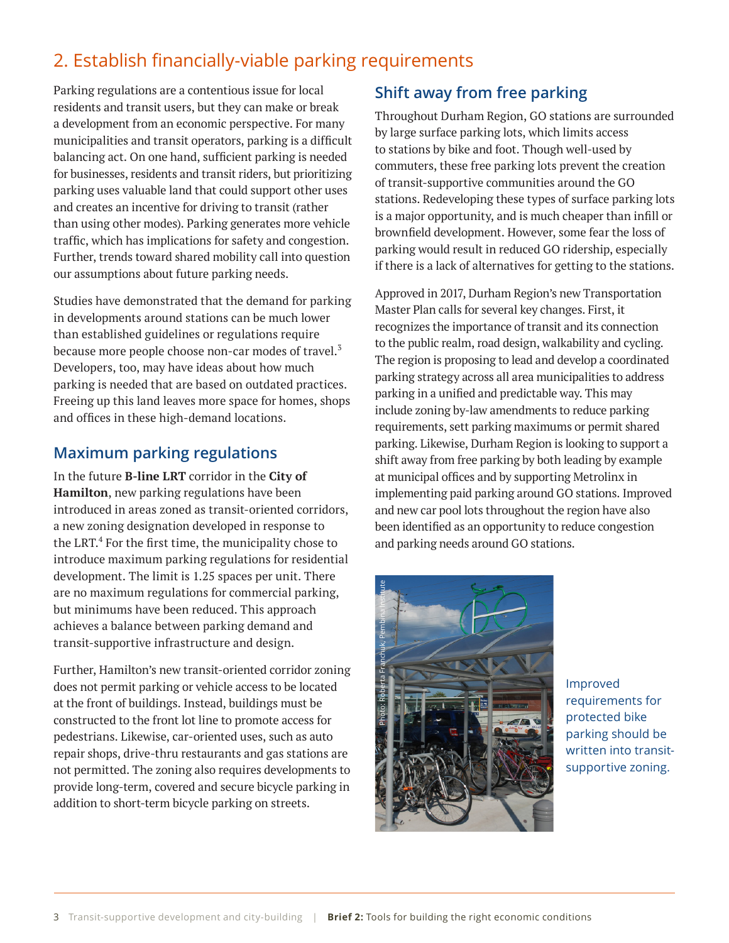### 2. Establish financially-viable parking requirements

Parking regulations are a contentious issue for local residents and transit users, but they can make or break a development from an economic perspective. For many municipalities and transit operators, parking is a difficult balancing act. On one hand, sufficient parking is needed for businesses, residents and transit riders, but prioritizing parking uses valuable land that could support other uses and creates an incentive for driving to transit (rather than using other modes). Parking generates more vehicle traffic, which has implications for safety and congestion. Further, trends toward shared mobility call into question our assumptions about future parking needs.

Studies have demonstrated that the demand for parking in developments around stations can be much lower than established guidelines or regulations require because more people choose non-car modes of travel.<sup>3</sup> Developers, too, may have ideas about how much parking is needed that are based on outdated practices. Freeing up this land leaves more space for homes, shops and offices in these high-demand locations.

#### **Maximum parking regulations**

In the future **B-line LRT** corridor in the **City of Hamilton**, new parking regulations have been introduced in areas zoned as transit-oriented corridors, a new zoning designation developed in response to the LRT.<sup>4</sup> For the first time, the municipality chose to introduce maximum parking regulations for residential development. The limit is 1.25 spaces per unit. There are no maximum regulations for commercial parking, but minimums have been reduced. This approach achieves a balance between parking demand and transit-supportive infrastructure and design.

Further, Hamilton's new transit-oriented corridor zoning does not permit parking or vehicle access to be located at the front of buildings. Instead, buildings must be constructed to the front lot line to promote access for pedestrians. Likewise, car-oriented uses, such as auto repair shops, drive-thru restaurants and gas stations are not permitted. The zoning also requires developments to provide long-term, covered and secure bicycle parking in addition to short-term bicycle parking on streets.

#### **Shift away from free parking**

Throughout Durham Region, GO stations are surrounded by large surface parking lots, which limits access to stations by bike and foot. Though well-used by commuters, these free parking lots prevent the creation of transit-supportive communities around the GO stations. Redeveloping these types of surface parking lots is a major opportunity, and is much cheaper than infill or brownfield development. However, some fear the loss of parking would result in reduced GO ridership, especially if there is a lack of alternatives for getting to the stations.

Approved in 2017, Durham Region's new Transportation Master Plan calls for several key changes. First, it recognizes the importance of transit and its connection to the public realm, road design, walkability and cycling. The region is proposing to lead and develop a coordinated parking strategy across all area municipalities to address parking in a unified and predictable way. This may include zoning by-law amendments to reduce parking requirements, sett parking maximums or permit shared parking. Likewise, Durham Region is looking to support a shift away from free parking by both leading by example at municipal offices and by supporting Metrolinx in implementing paid parking around GO stations. Improved and new car pool lots throughout the region have also been identified as an opportunity to reduce congestion and parking needs around GO stations.



Improved requirements for protected bike parking should be written into transitsupportive zoning.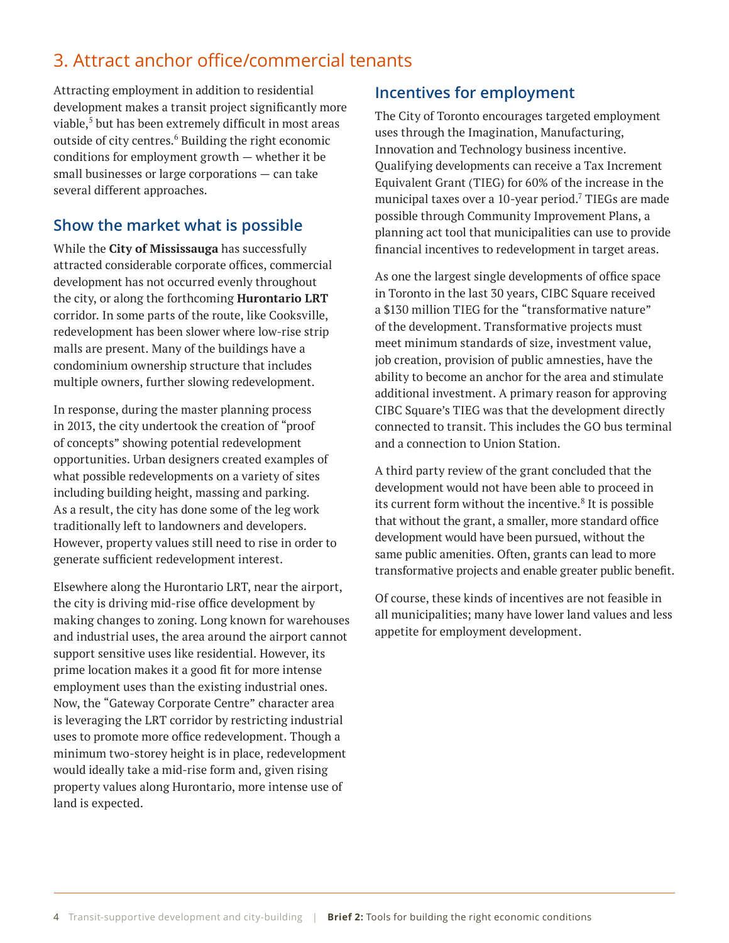#### 3. Attract anchor office/commercial tenants

Attracting employment in addition to residential development makes a transit project significantly more viable, $^5$  but has been extremely difficult in most areas outside of city centres.<sup>6</sup> Building the right economic conditions for employment growth — whether it be small businesses or large corporations — can take several different approaches.

#### **Show the market what is possible**

While the **City of Mississauga** has successfully attracted considerable corporate offices, commercial development has not occurred evenly throughout the city, or along the forthcoming **Hurontario LRT** corridor. In some parts of the route, like Cooksville, redevelopment has been slower where low-rise strip malls are present. Many of the buildings have a condominium ownership structure that includes multiple owners, further slowing redevelopment.

In response, during the master planning process in 2013, the city undertook the creation of "proof of concepts" showing potential redevelopment opportunities. Urban designers created examples of what possible redevelopments on a variety of sites including building height, massing and parking. As a result, the city has done some of the leg work traditionally left to landowners and developers. However, property values still need to rise in order to generate sufficient redevelopment interest.

Elsewhere along the Hurontario LRT, near the airport, the city is driving mid-rise office development by making changes to zoning. Long known for warehouses and industrial uses, the area around the airport cannot support sensitive uses like residential. However, its prime location makes it a good fit for more intense employment uses than the existing industrial ones. Now, the "Gateway Corporate Centre" character area is leveraging the LRT corridor by restricting industrial uses to promote more office redevelopment. Though a minimum two-storey height is in place, redevelopment would ideally take a mid-rise form and, given rising property values along Hurontario, more intense use of land is expected.

#### **Incentives for employment**

The City of Toronto encourages targeted employment uses through the Imagination, Manufacturing, Innovation and Technology business incentive. Qualifying developments can receive a Tax Increment Equivalent Grant (TIEG) for 60% of the increase in the municipal taxes over a 10-year period. $\mathrm{^{7}}$  TIEGs are made possible through Community Improvement Plans, a planning act tool that municipalities can use to provide financial incentives to redevelopment in target areas.

As one the largest single developments of office space in Toronto in the last 30 years, CIBC Square received a \$130 million TIEG for the "transformative nature" of the development. Transformative projects must meet minimum standards of size, investment value, job creation, provision of public amnesties, have the ability to become an anchor for the area and stimulate additional investment. A primary reason for approving CIBC Square's TIEG was that the development directly connected to transit. This includes the GO bus terminal and a connection to Union Station.

A third party review of the grant concluded that the development would not have been able to proceed in its current form without the incentive.<sup>8</sup> It is possible that without the grant, a smaller, more standard office development would have been pursued, without the same public amenities. Often, grants can lead to more transformative projects and enable greater public benefit.

Of course, these kinds of incentives are not feasible in all municipalities; many have lower land values and less appetite for employment development.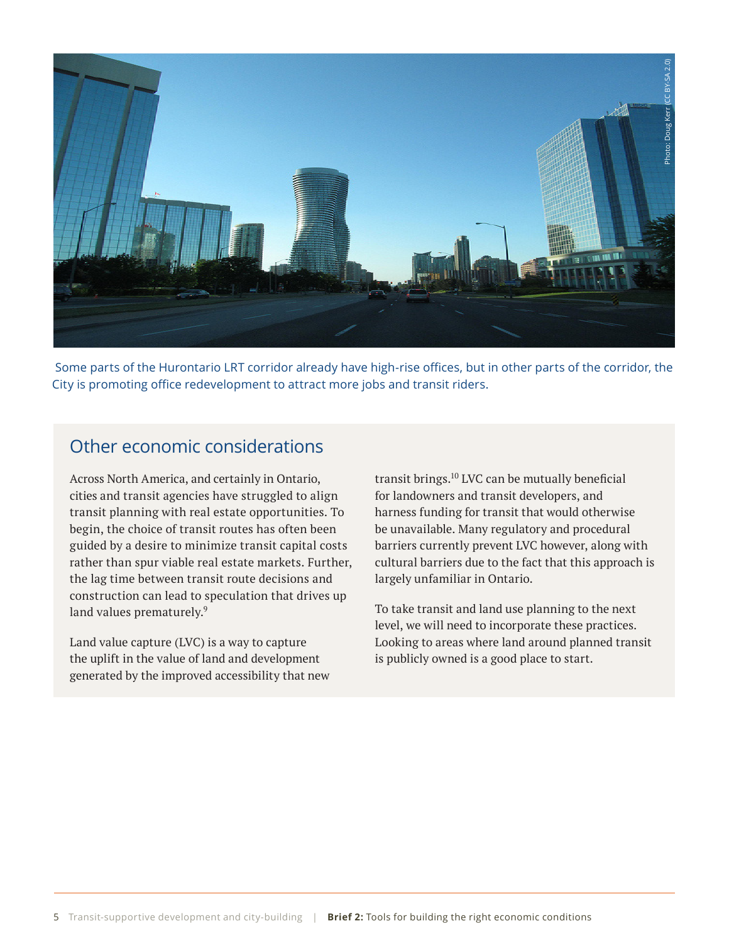

 Some parts of the Hurontario LRT corridor already have high-rise offices, but in other parts of the corridor, the City is promoting office redevelopment to attract more jobs and transit riders.

#### Other economic considerations

Across North America, and certainly in Ontario, cities and transit agencies have struggled to align transit planning with real estate opportunities. To begin, the choice of transit routes has often been guided by a desire to minimize transit capital costs rather than spur viable real estate markets. Further, the lag time between transit route decisions and construction can lead to speculation that drives up land values prematurely.<sup>9</sup>

Land value capture (LVC) is a way to capture the uplift in the value of land and development generated by the improved accessibility that new transit brings.10 LVC can be mutually beneficial for landowners and transit developers, and harness funding for transit that would otherwise be unavailable. Many regulatory and procedural barriers currently prevent LVC however, along with cultural barriers due to the fact that this approach is largely unfamiliar in Ontario.

To take transit and land use planning to the next level, we will need to incorporate these practices. Looking to areas where land around planned transit is publicly owned is a good place to start.